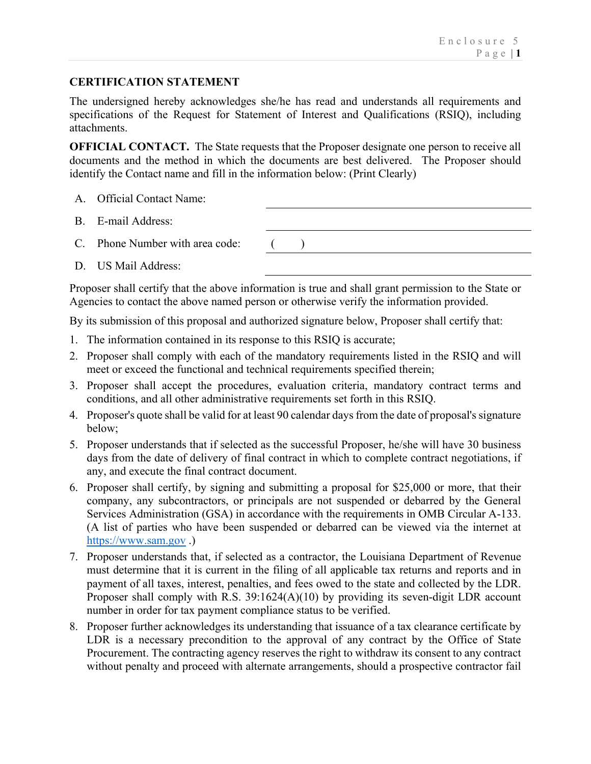## **CERTIFICATION STATEMENT**

The undersigned hereby acknowledges she/he has read and understands all requirements and specifications of the Request for Statement of Interest and Qualifications (RSIQ), including attachments.

**OFFICIAL CONTACT.** The State requests that the Proposer designate one person to receive all documents and the method in which the documents are best delivered. The Proposer should identify the Contact name and fill in the information below: (Print Clearly)

- A. Official Contact Name:
- B. E-mail Address:
- C. Phone Number with area code:  $($
- D. US Mail Address:

Proposer shall certify that the above information is true and shall grant permission to the State or Agencies to contact the above named person or otherwise verify the information provided.

By its submission of this proposal and authorized signature below, Proposer shall certify that:

- 1. The information contained in its response to this RSIQ is accurate;
- 2. Proposer shall comply with each of the mandatory requirements listed in the RSIQ and will meet or exceed the functional and technical requirements specified therein;
- 3. Proposer shall accept the procedures, evaluation criteria, mandatory contract terms and conditions, and all other administrative requirements set forth in this RSIQ.
- 4. Proposer's quote shall be valid for at least 90 calendar days from the date of proposal's signature below;
- 5. Proposer understands that if selected as the successful Proposer, he/she will have 30 business days from the date of delivery of final contract in which to complete contract negotiations, if any, and execute the final contract document.
- 6. Proposer shall certify, by signing and submitting a proposal for \$25,000 or more, that their company, any subcontractors, or principals are not suspended or debarred by the General Services Administration (GSA) in accordance with the requirements in OMB Circular A-133. (A list of parties who have been suspended or debarred can be viewed via the internet at https://www.sam.gov .)
- 7. Proposer understands that, if selected as a contractor, the Louisiana Department of Revenue must determine that it is current in the filing of all applicable tax returns and reports and in payment of all taxes, interest, penalties, and fees owed to the state and collected by the LDR. Proposer shall comply with R.S. 39:1624(A)(10) by providing its seven-digit LDR account number in order for tax payment compliance status to be verified.
- 8. Proposer further acknowledges its understanding that issuance of a tax clearance certificate by LDR is a necessary precondition to the approval of any contract by the Office of State Procurement. The contracting agency reserves the right to withdraw its consent to any contract without penalty and proceed with alternate arrangements, should a prospective contractor fail